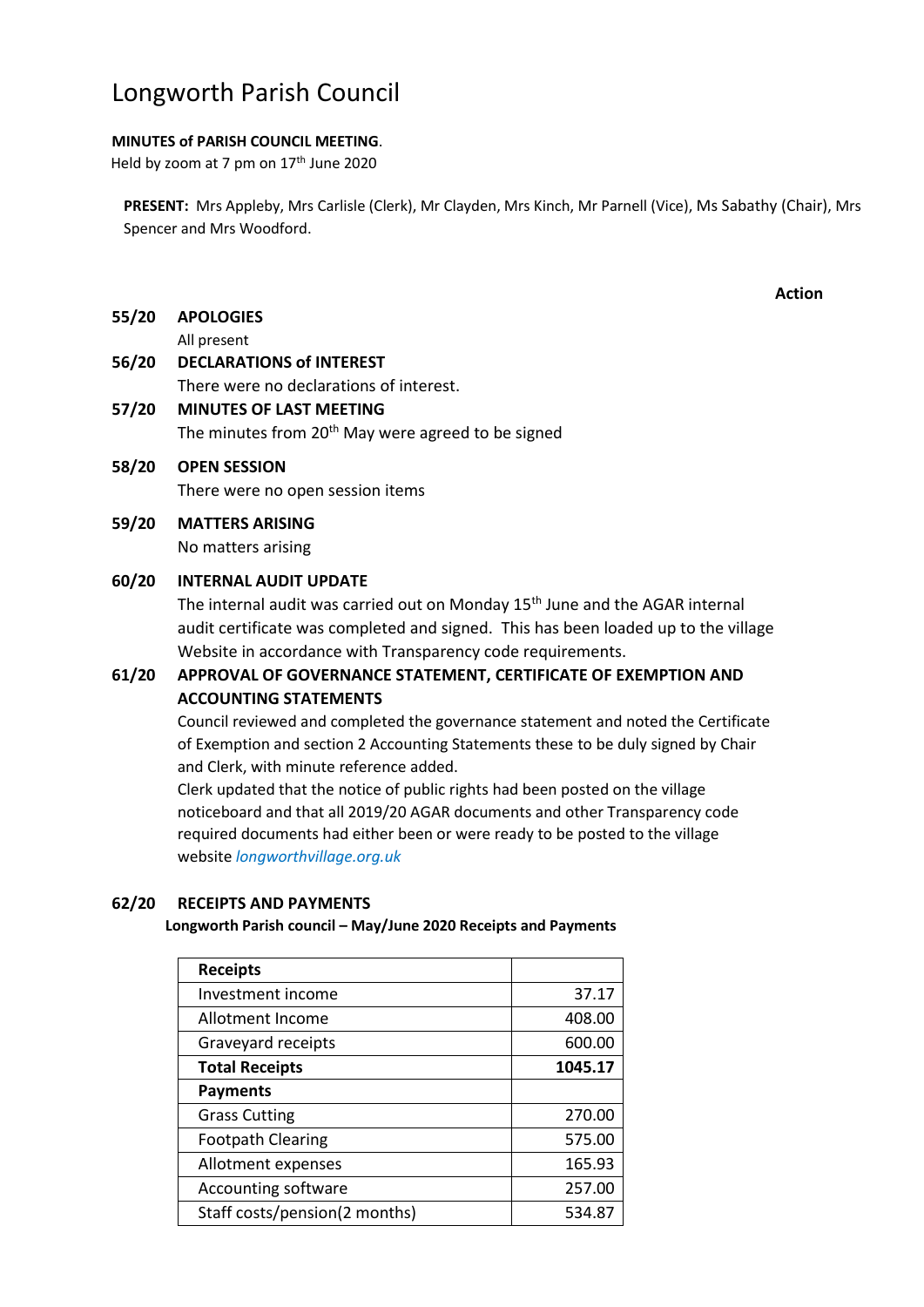# Longworth Parish Council

# **MINUTES of PARISH COUNCIL MEETING**.

Held by zoom at 7 pm on 17<sup>th</sup> June 2020

**PRESENT:** Mrs Appleby, Mrs Carlisle (Clerk), Mr Clayden, Mrs Kinch, Mr Parnell (Vice), Ms Sabathy (Chair), Mrs Spencer and Mrs Woodford.

**Action**

**55/20 APOLOGIES**

All present

# **56/20 DECLARATIONS of INTEREST**

There were no declarations of interest.

# **57/20 MINUTES OF LAST MEETING** The minutes from  $20<sup>th</sup>$  May were agreed to be signed

# **58/20 OPEN SESSION** There were no open session items

**59/20 MATTERS ARISING** No matters arising

# **60/20 INTERNAL AUDIT UPDATE**

The internal audit was carried out on Monday 15<sup>th</sup> June and the AGAR internal audit certificate was completed and signed. This has been loaded up to the village Website in accordance with Transparency code requirements.

# **61/20 APPROVAL OF GOVERNANCE STATEMENT, CERTIFICATE OF EXEMPTION AND ACCOUNTING STATEMENTS**

Council reviewed and completed the governance statement and noted the Certificate of Exemption and section 2 Accounting Statements these to be duly signed by Chair and Clerk, with minute reference added.

Clerk updated that the notice of public rights had been posted on the village noticeboard and that all 2019/20 AGAR documents and other Transparency code required documents had either been or were ready to be posted to the village website *longworthvillage.org.uk*

# **62/20 RECEIPTS AND PAYMENTS**

# **Longworth Parish council – May/June 2020 Receipts and Payments**

| <b>Receipts</b>               |         |
|-------------------------------|---------|
| Investment income             | 37.17   |
| Allotment Income              | 408.00  |
| Graveyard receipts            | 600.00  |
| <b>Total Receipts</b>         | 1045.17 |
| <b>Payments</b>               |         |
| <b>Grass Cutting</b>          | 270.00  |
| <b>Footpath Clearing</b>      | 575.00  |
| Allotment expenses            | 165.93  |
| <b>Accounting software</b>    | 257.00  |
| Staff costs/pension(2 months) | 534.87  |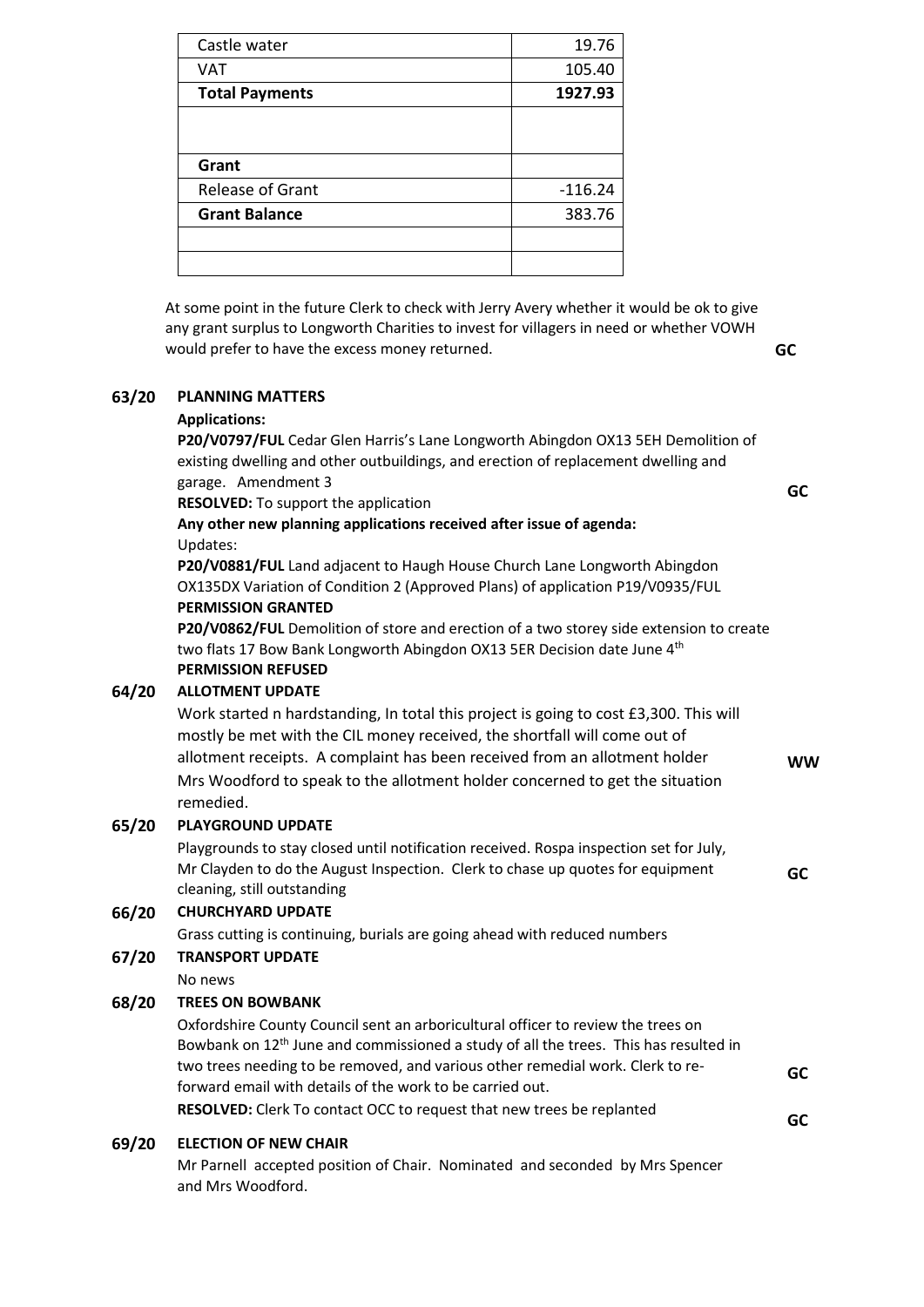| Castle water            | 19.76     |
|-------------------------|-----------|
| VAT                     | 105.40    |
| <b>Total Payments</b>   | 1927.93   |
|                         |           |
|                         |           |
| Grant                   |           |
| <b>Release of Grant</b> | $-116.24$ |
| <b>Grant Balance</b>    | 383.76    |
|                         |           |
|                         |           |

At some point in the future Clerk to check with Jerry Avery whether it would be ok to give any grant surplus to Longworth Charities to invest for villagers in need or whether VOWH would prefer to have the excess money returned. **GC**

## **63/20 PLANNING MATTERS**

#### **Applications:**

**P20/V0797/FUL** Cedar Glen Harris's Lane Longworth Abingdon OX13 5EH Demolition of existing dwelling and other outbuildings, and erection of replacement dwelling and garage. Amendment 3

**RESOLVED:** To support the application

**GC**

**WW**

**GC**

**GC**

**GC**

# **Any other new planning applications received after issue of agenda:** Updates:

**P20/V0881/FUL** Land adjacent to Haugh House Church Lane Longworth Abingdon OX135DX Variation of Condition 2 (Approved Plans) of application P19/V0935/FUL **PERMISSION GRANTED**

**P20/V0862/FUL** Demolition of store and erection of a two storey side extension to create two flats 17 Bow Bank Longworth Abingdon OX13 5ER Decision date June 4<sup>th</sup> **PERMISSION REFUSED**

## **64/20 ALLOTMENT UPDATE**

Work started n hardstanding, In total this project is going to cost £3,300. This will mostly be met with the CIL money received, the shortfall will come out of allotment receipts. A complaint has been received from an allotment holder Mrs Woodford to speak to the allotment holder concerned to get the situation remedied.

## **65/20 PLAYGROUND UPDATE**

Playgrounds to stay closed until notification received. Rospa inspection set for July, Mr Clayden to do the August Inspection. Clerk to chase up quotes for equipment cleaning, still outstanding

## **66/20 CHURCHYARD UPDATE**

Grass cutting is continuing, burials are going ahead with reduced numbers

# **67/20 TRANSPORT UPDATE**

No news

## **68/20 TREES ON BOWBANK**

Oxfordshire County Council sent an arboricultural officer to review the trees on Bowbank on  $12<sup>th</sup>$  June and commissioned a study of all the trees. This has resulted in two trees needing to be removed, and various other remedial work. Clerk to reforward email with details of the work to be carried out. **RESOLVED:** Clerk To contact OCC to request that new trees be replanted

## **69/20 ELECTION OF NEW CHAIR**

Mr Parnell accepted position of Chair. Nominated and seconded by Mrs Spencer and Mrs Woodford.